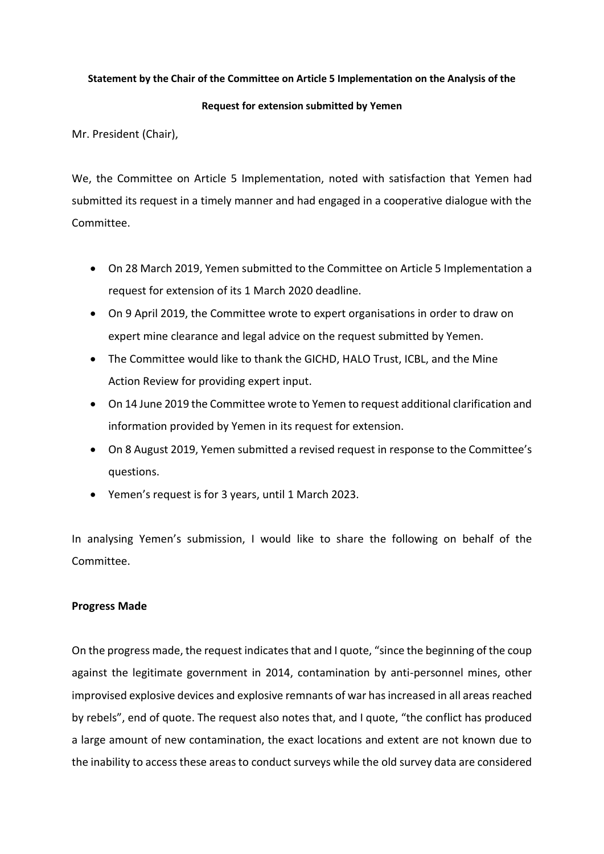## **Statement by the Chair of the Committee on Article 5 Implementation on the Analysis of the**

### **Request for extension submitted by Yemen**

Mr. President (Chair),

We, the Committee on Article 5 Implementation, noted with satisfaction that Yemen had submitted its request in a timely manner and had engaged in a cooperative dialogue with the Committee.

- On 28 March 2019, Yemen submitted to the Committee on Article 5 Implementation a request for extension of its 1 March 2020 deadline.
- On 9 April 2019, the Committee wrote to expert organisations in order to draw on expert mine clearance and legal advice on the request submitted by Yemen.
- The Committee would like to thank the GICHD, HALO Trust, ICBL, and the Mine Action Review for providing expert input.
- On 14 June 2019 the Committee wrote to Yemen to request additional clarification and information provided by Yemen in its request for extension.
- On 8 August 2019, Yemen submitted a revised request in response to the Committee's questions.
- Yemen's request is for 3 years, until 1 March 2023.

In analysing Yemen's submission, I would like to share the following on behalf of the Committee.

# **Progress Made**

On the progress made, the request indicates that and I quote, "since the beginning of the coup against the legitimate government in 2014, contamination by anti-personnel mines, other improvised explosive devices and explosive remnants of war has increased in all areas reached by rebels", end of quote. The request also notes that, and I quote, "the conflict has produced a large amount of new contamination, the exact locations and extent are not known due to the inability to access these areas to conduct surveys while the old survey data are considered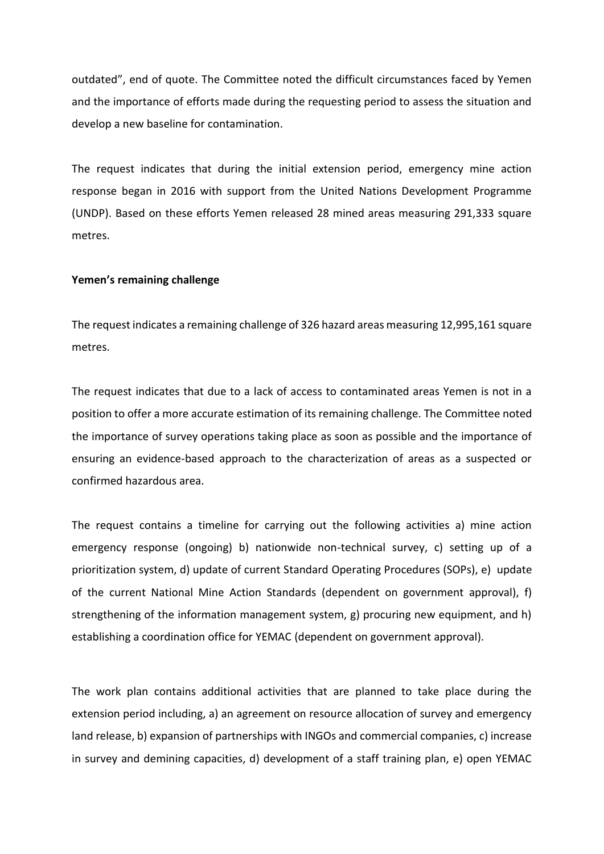outdated", end of quote. The Committee noted the difficult circumstances faced by Yemen and the importance of efforts made during the requesting period to assess the situation and develop a new baseline for contamination.

The request indicates that during the initial extension period, emergency mine action response began in 2016 with support from the United Nations Development Programme (UNDP). Based on these efforts Yemen released 28 mined areas measuring 291,333 square metres.

### **Yemen's remaining challenge**

The request indicates a remaining challenge of 326 hazard areas measuring 12,995,161 square metres.

The request indicates that due to a lack of access to contaminated areas Yemen is not in a position to offer a more accurate estimation of its remaining challenge. The Committee noted the importance of survey operations taking place as soon as possible and the importance of ensuring an evidence-based approach to the characterization of areas as a suspected or confirmed hazardous area.

The request contains a timeline for carrying out the following activities a) mine action emergency response (ongoing) b) nationwide non-technical survey, c) setting up of a prioritization system, d) update of current Standard Operating Procedures (SOPs), e) update of the current National Mine Action Standards (dependent on government approval), f) strengthening of the information management system, g) procuring new equipment, and h) establishing a coordination office for YEMAC (dependent on government approval).

The work plan contains additional activities that are planned to take place during the extension period including, a) an agreement on resource allocation of survey and emergency land release, b) expansion of partnerships with INGOs and commercial companies, c) increase in survey and demining capacities, d) development of a staff training plan, e) open YEMAC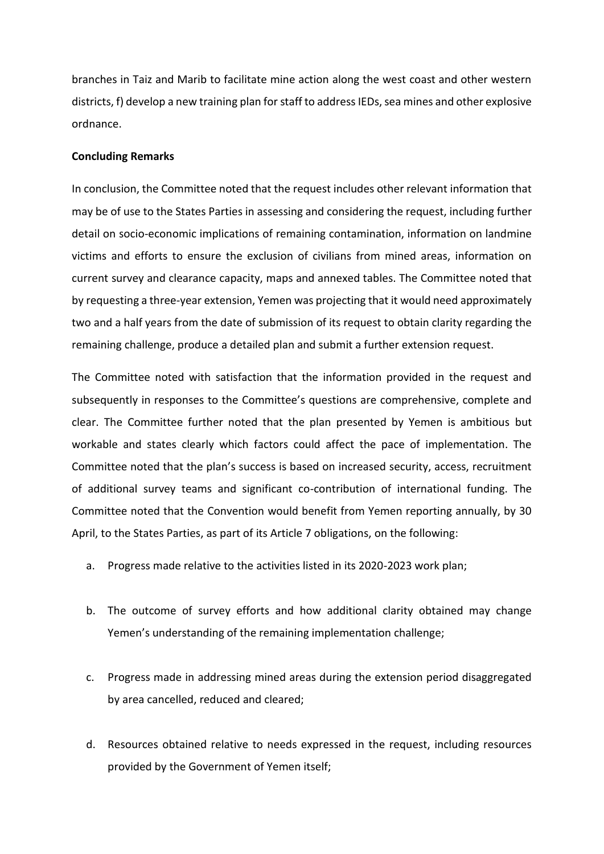branches in Taiz and Marib to facilitate mine action along the west coast and other western districts, f) develop a new training plan for staff to address IEDs, sea mines and other explosive ordnance.

### **Concluding Remarks**

In conclusion, the Committee noted that the request includes other relevant information that may be of use to the States Parties in assessing and considering the request, including further detail on socio-economic implications of remaining contamination, information on landmine victims and efforts to ensure the exclusion of civilians from mined areas, information on current survey and clearance capacity, maps and annexed tables. The Committee noted that by requesting a three-year extension, Yemen was projecting that it would need approximately two and a half years from the date of submission of its request to obtain clarity regarding the remaining challenge, produce a detailed plan and submit a further extension request.

The Committee noted with satisfaction that the information provided in the request and subsequently in responses to the Committee's questions are comprehensive, complete and clear. The Committee further noted that the plan presented by Yemen is ambitious but workable and states clearly which factors could affect the pace of implementation. The Committee noted that the plan's success is based on increased security, access, recruitment of additional survey teams and significant co-contribution of international funding. The Committee noted that the Convention would benefit from Yemen reporting annually, by 30 April, to the States Parties, as part of its Article 7 obligations, on the following:

- a. Progress made relative to the activities listed in its 2020-2023 work plan;
- b. The outcome of survey efforts and how additional clarity obtained may change Yemen's understanding of the remaining implementation challenge;
- c. Progress made in addressing mined areas during the extension period disaggregated by area cancelled, reduced and cleared;
- d. Resources obtained relative to needs expressed in the request, including resources provided by the Government of Yemen itself;